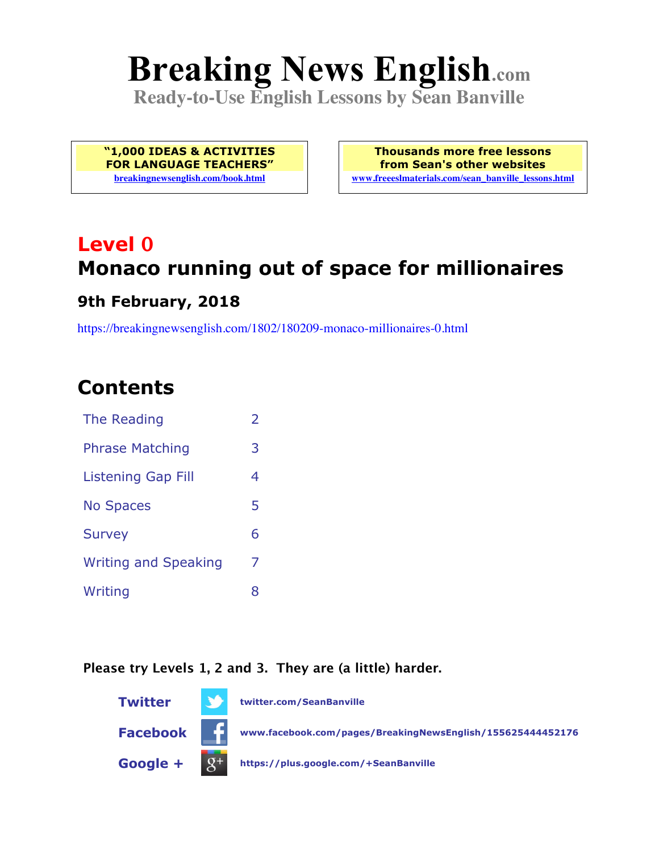# **Breaking News English.com**

**Ready-to-Use English Lessons by Sean Banville**

**"1,000 IDEAS & ACTIVITIES FOR LANGUAGE TEACHERS" breakingnewsenglish.com/book.html**

**Thousands more free lessons from Sean's other websites www.freeeslmaterials.com/sean\_banville\_lessons.html**

## **Level 0 Monaco running out of space for millionaires**

#### **9th February, 2018**

https://breakingnewsenglish.com/1802/180209-monaco-millionaires-0.html

### **Contents**

| The Reading                 | $\mathcal{P}$ |
|-----------------------------|---------------|
| <b>Phrase Matching</b>      | 3             |
| Listening Gap Fill          | 4             |
| <b>No Spaces</b>            | 5             |
| <b>Survey</b>               | 6             |
| <b>Writing and Speaking</b> | 7             |
| Writing                     | 8             |

#### **Please try Levels 1, 2 and 3. They are (a little) harder.**

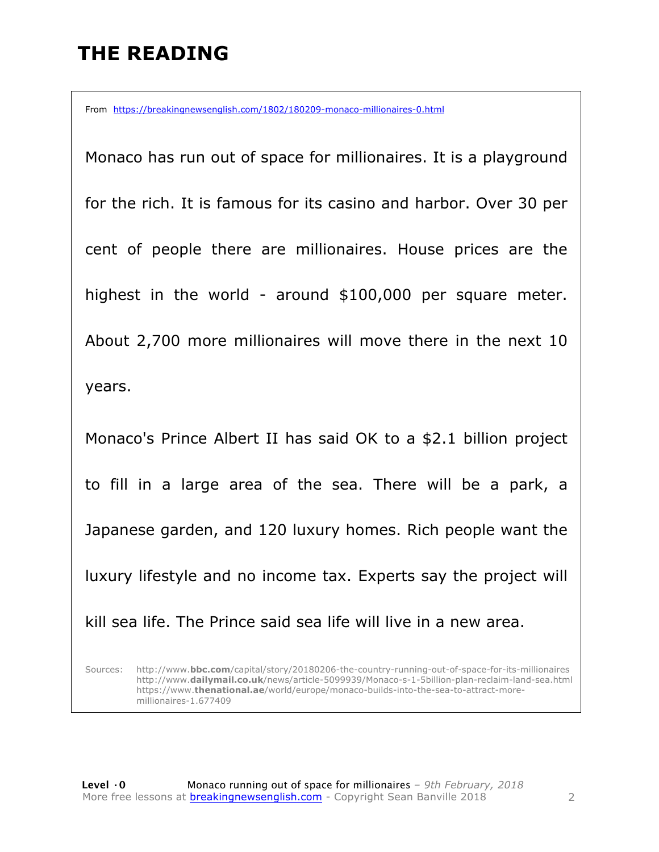### **THE READING**

From https://breakingnewsenglish.com/1802/180209-monaco-millionaires-0.html

Monaco has run out of space for millionaires. It is a playground for the rich. It is famous for its casino and harbor. Over 30 per cent of people there are millionaires. House prices are the highest in the world - around \$100,000 per square meter. About 2,700 more millionaires will move there in the next 10 years.

Monaco's Prince Albert II has said OK to a \$2.1 billion project to fill in a large area of the sea. There will be a park, a Japanese garden, and 120 luxury homes. Rich people want the luxury lifestyle and no income tax. Experts say the project will kill sea life. The Prince said sea life will live in a new area.

Sources: http://www.**bbc.com**/capital/story/20180206-the-country-running-out-of-space-for-its-millionaires http://www.**dailymail.co.uk**/news/article-5099939/Monaco-s-1-5billion-plan-reclaim-land-sea.html https://www.**thenational.ae**/world/europe/monaco-builds-into-the-sea-to-attract-moremillionaires-1.677409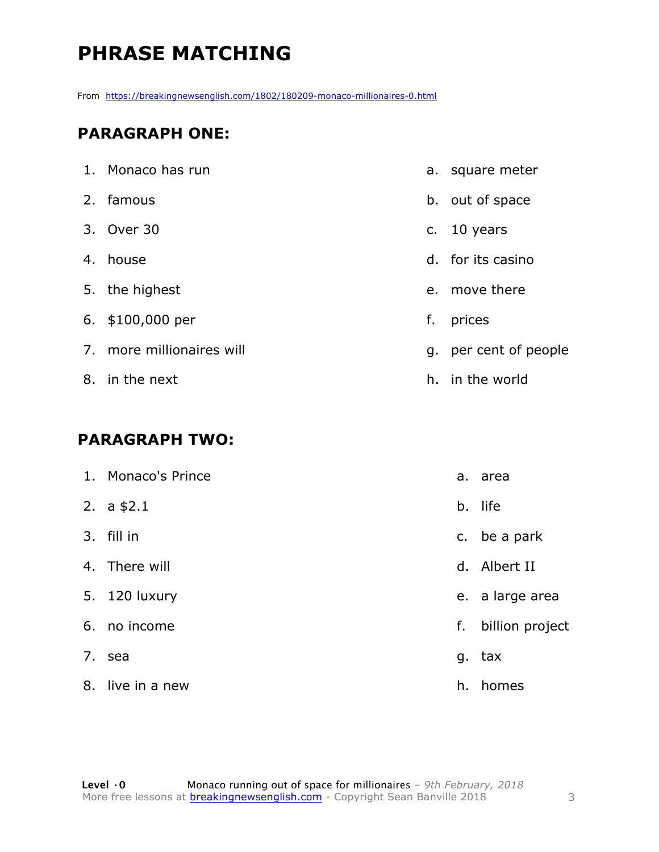### **PHRASE MATCHING**

From https://breakingnewsenglish.com/1802/180209-monaco-millionaires-0.html

#### **PARAGRAPH ONE:**

| 1. Monaco has run         |    | a. square meter    |
|---------------------------|----|--------------------|
| 2. famous                 |    | b. out of space    |
| 3. Over 30                |    | c. $10$ years      |
| 4. house                  |    | d. for its casino  |
| 5. the highest            |    | e. move there      |
| 6. \$100,000 per          | f. | prices             |
| 7. more millionaires will | g. | per cent of people |
| 8. in the next            |    | h. in the world    |
|                           |    |                    |

#### **PARAGRAPH TWO:**

|    | 1. Monaco's Prince |    | a. area         |
|----|--------------------|----|-----------------|
|    | 2. $a$ \$2.1       | b. | life            |
|    | 3. fill in         |    | c. be a park    |
|    | 4. There will      | d. | Albert II       |
|    | 5. 120 luxury      |    | e. a large area |
|    | 6. no income       | f. | billion project |
|    | 7. sea             |    | g. tax          |
| 8. | live in a new      | h. | homes           |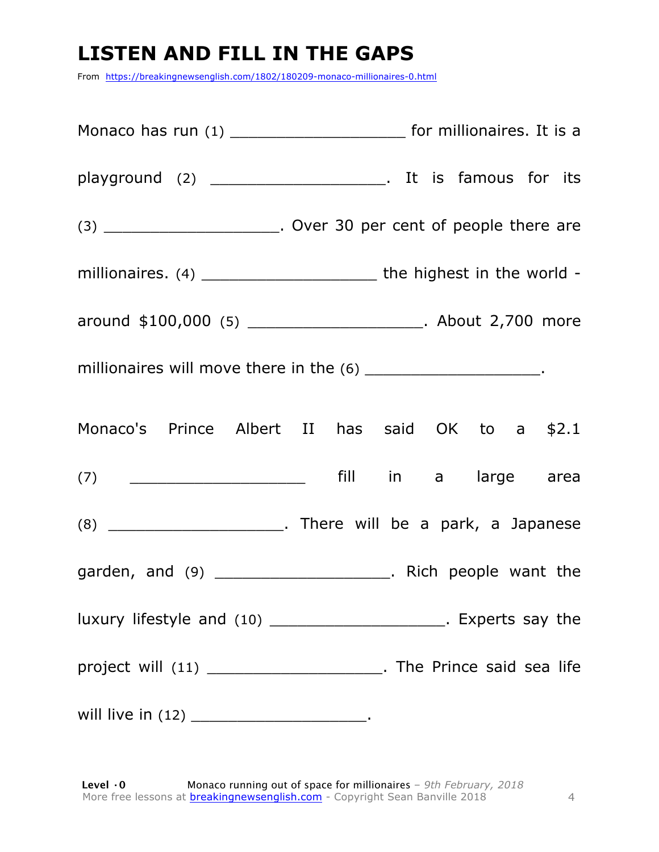### **LISTEN AND FILL IN THE GAPS**

From https://breakingnewsenglish.com/1802/180209-monaco-millionaires-0.html

| Monaco has run (1) ____________________________ for millionaires. It is a                                                                                                                                                                                                                                                                                                                                         |  |  |  |
|-------------------------------------------------------------------------------------------------------------------------------------------------------------------------------------------------------------------------------------------------------------------------------------------------------------------------------------------------------------------------------------------------------------------|--|--|--|
|                                                                                                                                                                                                                                                                                                                                                                                                                   |  |  |  |
| (3) ___________________________. Over 30 per cent of people there are                                                                                                                                                                                                                                                                                                                                             |  |  |  |
| millionaires. (4) $\frac{1}{\sqrt{1-\frac{1}{\sqrt{1-\frac{1}{\sqrt{1-\frac{1}{\sqrt{1-\frac{1}{\sqrt{1-\frac{1}{\sqrt{1-\frac{1}{\sqrt{1-\frac{1}{\sqrt{1-\frac{1}{\sqrt{1-\frac{1}{\sqrt{1-\frac{1}{\sqrt{1-\frac{1}{\sqrt{1-\frac{1}{\sqrt{1-\frac{1}{\sqrt{1-\frac{1}{\sqrt{1-\frac{1}{\sqrt{1-\frac{1}{\sqrt{1-\frac{1}{\sqrt{1-\frac{1}{\sqrt{1-\frac{1}{\sqrt{1-\frac{1}{\sqrt{1-\frac{1}{\sqrt{1-\frac{1$ |  |  |  |
| around \$100,000 (5) _______________________. About 2,700 more                                                                                                                                                                                                                                                                                                                                                    |  |  |  |
| millionaires will move there in the (6) ______________________.                                                                                                                                                                                                                                                                                                                                                   |  |  |  |
| Monaco's Prince Albert II has said OK to a \$2.1                                                                                                                                                                                                                                                                                                                                                                  |  |  |  |
|                                                                                                                                                                                                                                                                                                                                                                                                                   |  |  |  |
|                                                                                                                                                                                                                                                                                                                                                                                                                   |  |  |  |
| garden, and (9) _______________________. Rich people want the                                                                                                                                                                                                                                                                                                                                                     |  |  |  |
| luxury lifestyle and (10) ________________________. Experts say the                                                                                                                                                                                                                                                                                                                                               |  |  |  |
| project will (11) _______________________. The Prince said sea life                                                                                                                                                                                                                                                                                                                                               |  |  |  |
| will live in (12) _______________________________.                                                                                                                                                                                                                                                                                                                                                                |  |  |  |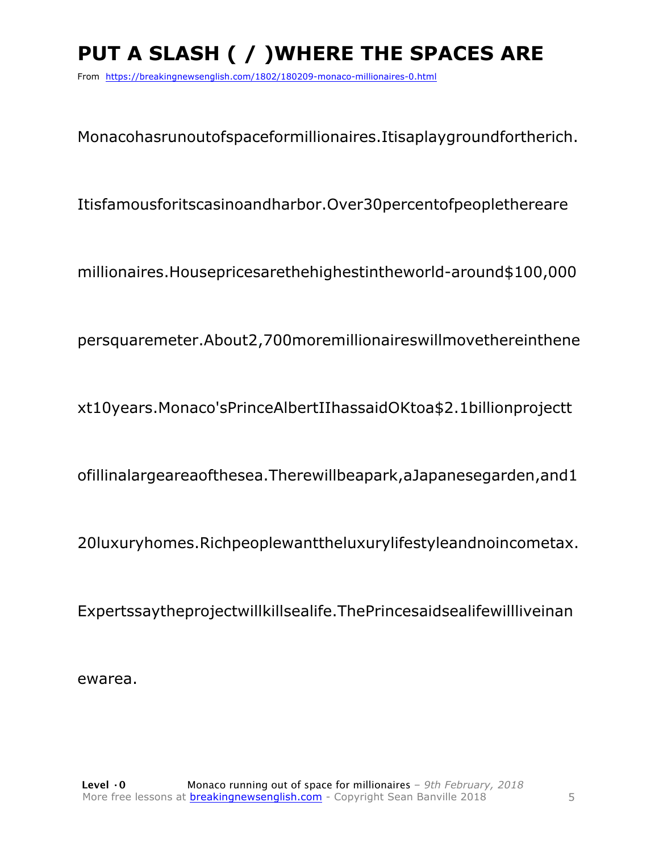### **PUT A SLASH ( / )WHERE THE SPACES ARE**

From https://breakingnewsenglish.com/1802/180209-monaco-millionaires-0.html

Monacohasrunoutofspaceformillionaires.Itisaplaygroundfortherich.

Itisfamousforitscasinoandharbor.Over30percentofpeoplethereare

millionaires.Housepricesarethehighestintheworld-around\$100,000

persquaremeter.About2,700moremillionaireswillmovethereinthene

xt10years.Monaco'sPrinceAlbertIIhassaidOKtoa\$2.1billionprojectt

ofillinalargeareaofthesea.Therewillbeapark,aJapanesegarden,and1

20luxuryhomes.Richpeoplewanttheluxurylifestyleandnoincometax.

Expertssaytheprojectwillkillsealife.ThePrincesaidsealifewillliveinan

ewarea.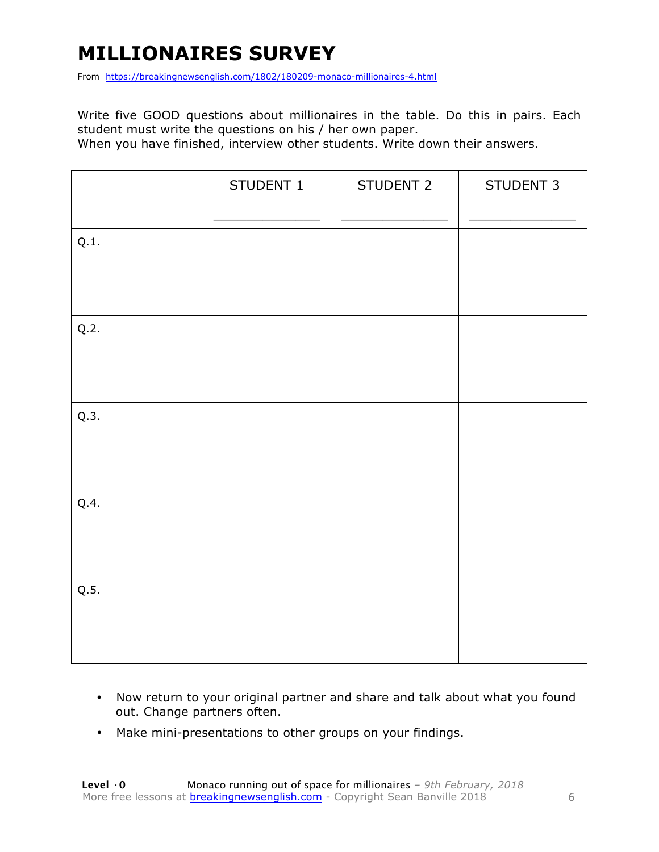### **MILLIONAIRES SURVEY**

From https://breakingnewsenglish.com/1802/180209-monaco-millionaires-4.html

Write five GOOD questions about millionaires in the table. Do this in pairs. Each student must write the questions on his / her own paper.

When you have finished, interview other students. Write down their answers.

|      | STUDENT 1 | STUDENT 2 | STUDENT 3 |
|------|-----------|-----------|-----------|
| Q.1. |           |           |           |
| Q.2. |           |           |           |
| Q.3. |           |           |           |
| Q.4. |           |           |           |
| Q.5. |           |           |           |

- Now return to your original partner and share and talk about what you found out. Change partners often.
- Make mini-presentations to other groups on your findings.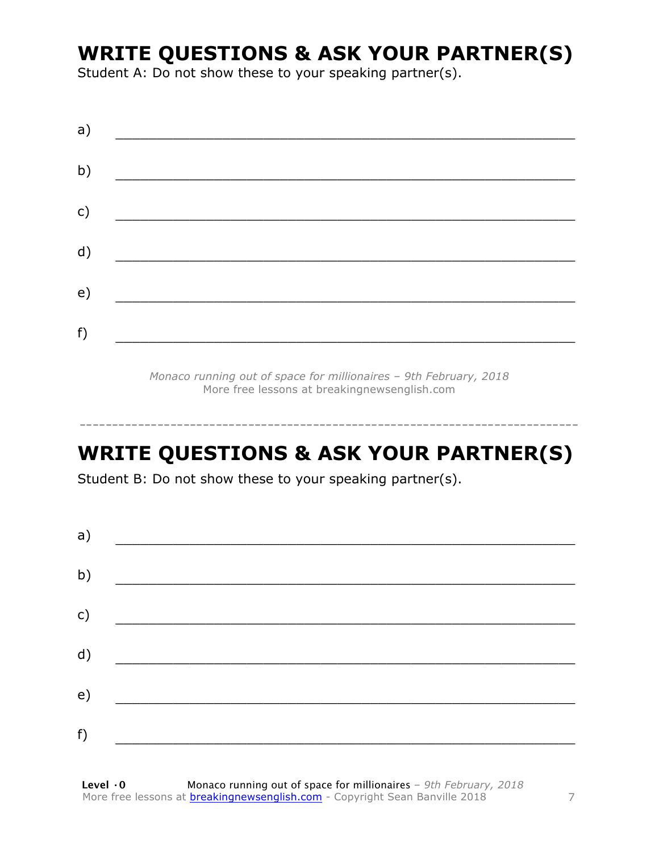### **WRITE QUESTIONS & ASK YOUR PARTNER(S)**

Student A: Do not show these to your speaking partner(s).

| a) |  |  |
|----|--|--|
| b) |  |  |
| c) |  |  |
| d) |  |  |
| e) |  |  |
|    |  |  |
| f) |  |  |

*Monaco running out of space for millionaires – 9th February, 2018* More free lessons at breakingnewsenglish.com

### **WRITE QUESTIONS & ASK YOUR PARTNER(S)**

-----------------------------------------------------------------------------

Student B: Do not show these to your speaking partner(s).

| a)           |  |  |
|--------------|--|--|
| b)           |  |  |
| $\mathsf{C}$ |  |  |
| d)           |  |  |
| e)           |  |  |
| f)           |  |  |